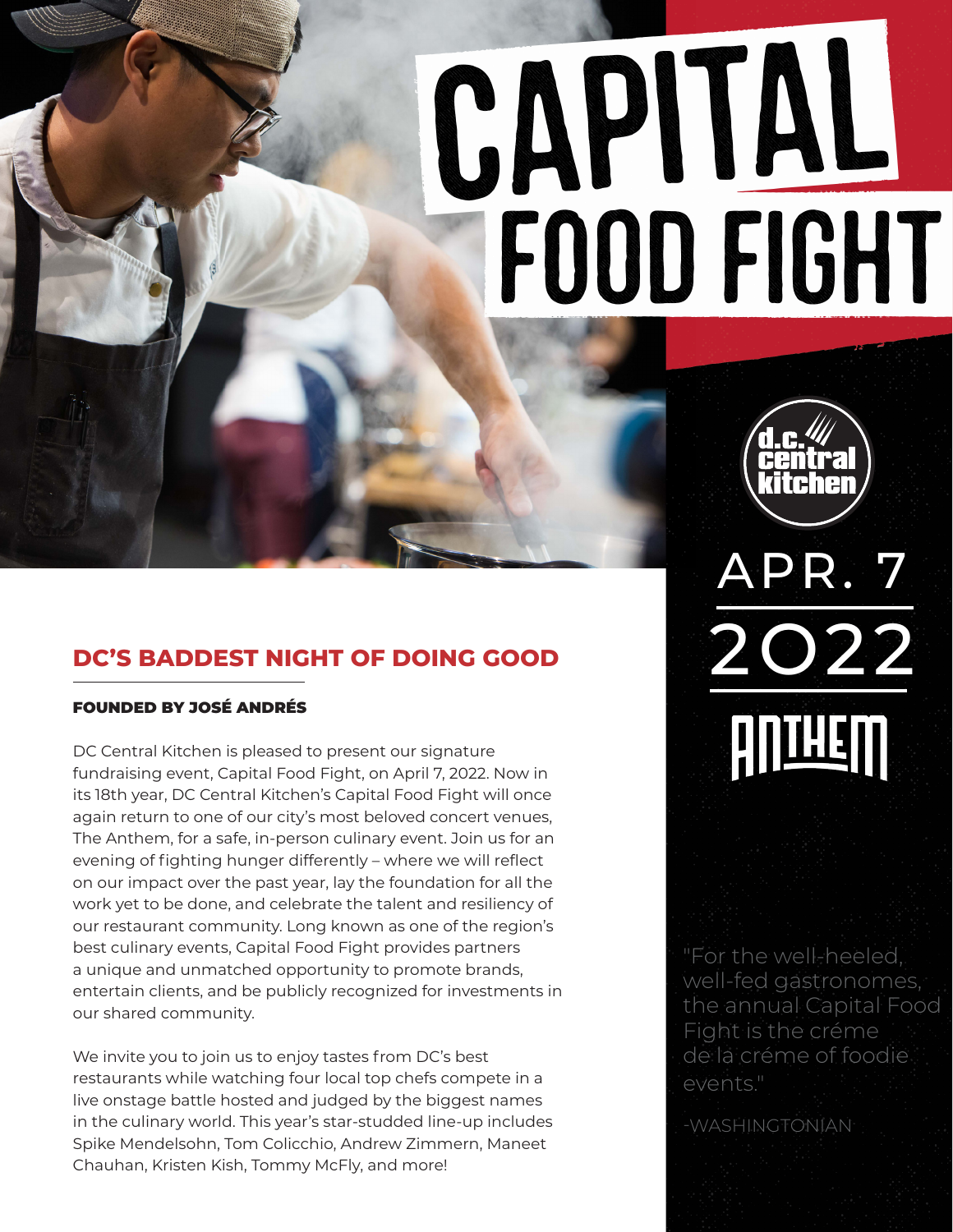# CAPINL FOOD FIGHT

# **DC'S BADDEST NIGHT OF DOING GOOD**

#### FOUNDED BY JOSÉ ANDRÉS

DC Central Kitchen is pleased to present our signature fundraising event, Capital Food Fight, on April 7, 2022. Now in its 18th year, DC Central Kitchen's Capital Food Fight will once again return to one of our city's most beloved concert venues, The Anthem, for a safe, in-person culinary event. Join us for an evening of fighting hunger differently – where we will reflect on our impact over the past year, lay the foundation for all the work yet to be done, and celebrate the talent and resiliency of our restaurant community. Long known as one of the region's best culinary events, Capital Food Fight provides partners a unique and unmatched opportunity to promote brands, entertain clients, and be publicly recognized for investments in our shared community.

We invite you to join us to enjoy tastes from DC's best restaurants while watching four local top chefs compete in a live onstage battle hosted and judged by the biggest names in the culinary world. This year's star-studded line-up includes Spike Mendelsohn, Tom Colicchio, Andrew Zimmern, Maneet Chauhan, Kristen Kish, Tommy McFly, and more!

APR. 7 2O22 **AUTHEIN** 

"For the well-heeled, well-fed gastronomes, the annual Capital Food Fight is the créme de la créme of foodie events."

-WASHINGTONIAN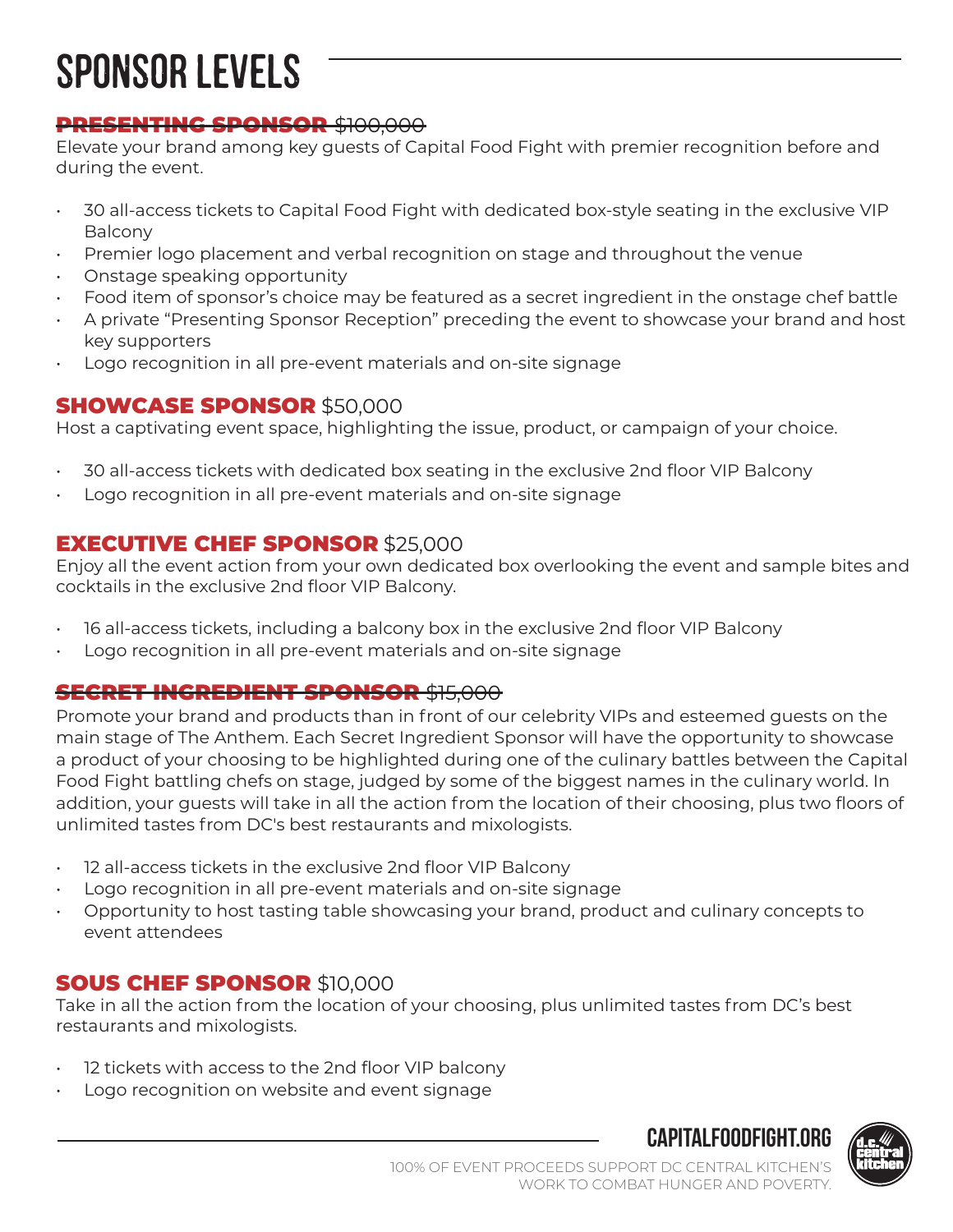# SPONSOR LEVELS

#### PRESENTING SPONSOR \$100,000

Elevate your brand among key guests of Capital Food Fight with premier recognition before and during the event.

- 30 all-access tickets to Capital Food Fight with dedicated box-style seating in the exclusive VIP Balcony
- Premier logo placement and verbal recognition on stage and throughout the venue
- Onstage speaking opportunity
- Food item of sponsor's choice may be featured as a secret ingredient in the onstage chef battle
- A private "Presenting Sponsor Reception" preceding the event to showcase your brand and host key supporters
- Logo recognition in all pre-event materials and on-site signage

#### SHOWCASE SPONSOR \$50,000

Host a captivating event space, highlighting the issue, product, or campaign of your choice.

- 30 all-access tickets with dedicated box seating in the exclusive 2nd floor VIP Balcony
- Logo recognition in all pre-event materials and on-site signage

#### EXECUTIVE CHEF SPONSOR \$25,000

Enjoy all the event action from your own dedicated box overlooking the event and sample bites and cocktails in the exclusive 2nd floor VIP Balcony.

- 16 all-access tickets, including a balcony box in the exclusive 2nd floor VIP Balcony
- Logo recognition in all pre-event materials and on-site signage

#### **SECRET INGREDIENT SPONSOR \$15,000**

Promote your brand and products than in front of our celebrity VIPs and esteemed guests on the main stage of The Anthem. Each Secret Ingredient Sponsor will have the opportunity to showcase a product of your choosing to be highlighted during one of the culinary battles between the Capital Food Fight battling chefs on stage, judged by some of the biggest names in the culinary world. In addition, your guests will take in all the action from the location of their choosing, plus two floors of unlimited tastes from DC's best restaurants and mixologists.

- 12 all-access tickets in the exclusive 2nd floor VIP Balcony
- Logo recognition in all pre-event materials and on-site signage
- Opportunity to host tasting table showcasing your brand, product and culinary concepts to event attendees

## SOUS CHEF SPONSOR \$10,000

Take in all the action from the location of your choosing, plus unlimited tastes from DC's best restaurants and mixologists.

- 12 tickets with access to the 2nd floor VIP balcony
- Logo recognition on website and event signage



**capitalfoodfight.org**